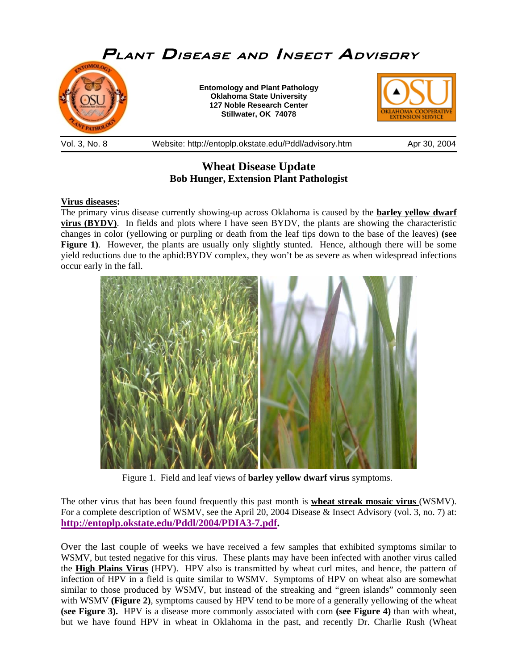

**Wheat Disease Update** 

# **Bob Hunger, Extension Plant Pathologist**

# **Virus diseases:**

The primary virus disease currently showing-up across Oklahoma is caused by the **barley yellow dwarf virus (BYDV)**. In fields and plots where I have seen BYDV, the plants are showing the characteristic changes in color (yellowing or purpling or death from the leaf tips down to the base of the leaves) **(see Figure 1).** However, the plants are usually only slightly stunted. Hence, although there will be some yield reductions due to the aphid:BYDV complex, they won't be as severe as when widespread infections occur early in the fall.



Figure 1. Field and leaf views of **barley yellow dwarf virus** symptoms.

The other virus that has been found frequently this past month is **wheat streak mosaic virus** (WSMV). For a complete description of WSMV, see the April 20, 2004 Disease & Insect Advisory (vol. 3, no. 7) at: **http://entoplp.okstate.edu/Pddl/2004/PDIA3-7.pdf[.](http://entoplp.okstate.edu/Pddl/2004/PDIA3-7.pdf)** 

Over the last couple of weeks we have received a few samples that exhibited symptoms similar to WSMV, but tested negative for this virus. These plants may have been infected with another virus called the **High Plains Virus** (HPV). HPV also is transmitted by wheat curl mites, and hence, the pattern of infection of HPV in a field is quite similar to WSMV. Symptoms of HPV on wheat also are somewhat similar to those produced by WSMV, but instead of the streaking and "green islands" commonly seen with WSMV **(Figure 2)**, symptoms caused by HPV tend to be more of a generally yellowing of the wheat **(see Figure 3).** HPV is a disease more commonly associated with corn **(see Figure 4)** than with wheat, but we have found HPV in wheat in Oklahoma in the past, and recently Dr. Charlie Rush (Wheat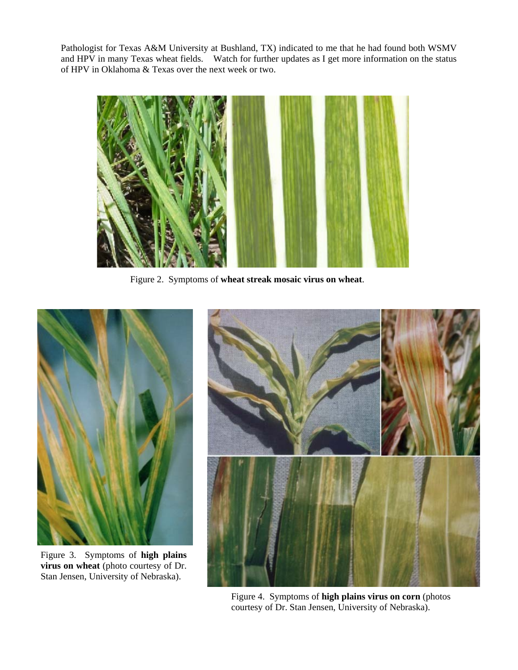Pathologist for Texas A&M University at Bushland, TX) indicated to me that he had found both WSMV and HPV in many Texas wheat fields. Watch for further updates as I get more information on the status of HPV in Oklahoma & Texas over the next week or two.



Figure 2. Symptoms of **wheat streak mosaic virus on wheat**.



Figure 3. Symptoms of **high plains virus on wheat** (photo courtesy of Dr. Stan Jensen, University of Nebraska).



Figure 4. Symptoms of **high plains virus on corn** (photos courtesy of Dr. Stan Jensen, University of Nebraska).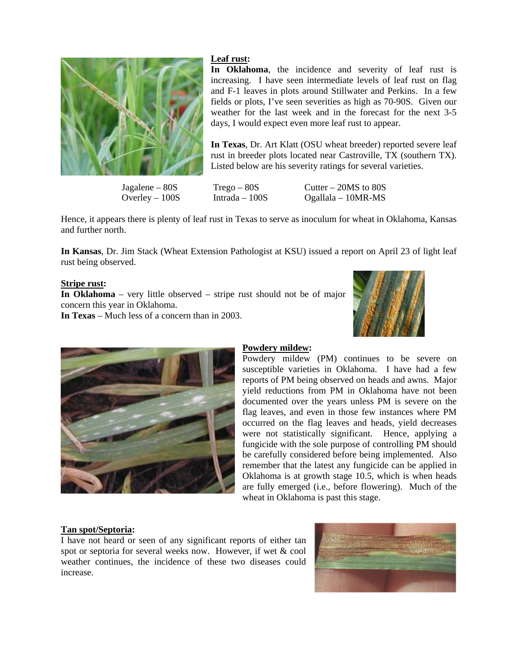

# **Leaf rust:**

**In Oklahoma**, the incidence and severity of leaf rust is increasing. I have seen intermediate levels of leaf rust on flag and F-1 leaves in plots around Stillwater and Perkins. In a few fields or plots, I've seen severities as high as 70-90S. Given our weather for the last week and in the forecast for the next 3-5 days, I would expect even more leaf rust to appear.

**In Texas**, Dr. Art Klatt (OSU wheat breeder) reported severe leaf rust in breeder plots located near Castroville, TX (southern TX). Listed below are his severity ratings for several varieties.

 $Jagalene - 80S$   $Trego - 80S$   $Cutter - 20MS$  to 80S Overley – 100S Intrada – 100S Ogallala – 10MR-MS

Hence, it appears there is plenty of leaf rust in Texas to serve as inoculum for wheat in Oklahoma, Kansas and further north.

**In Kansas**, Dr. Jim Stack (Wheat Extension Pathologist at KSU) issued a report on April 23 of light leaf rust being observed.

# **Stripe rust:**

**In Oklahoma** – very little observed – stripe rust should not be of major concern this year in Oklahoma.

**In Texas** – Much less of a concern than in 2003.





# **Powdery mildew:**

Powdery mildew (PM) continues to be severe on susceptible varieties in Oklahoma. I have had a few reports of PM being observed on heads and awns. Major yield reductions from PM in Oklahoma have not been documented over the years unless PM is severe on the flag leaves, and even in those few instances where PM occurred on the flag leaves and heads, yield decreases were not statistically significant. Hence, applying a fungicide with the sole purpose of controlling PM should be carefully considered before being implemented. Also remember that the latest any fungicide can be applied in Oklahoma is at growth stage 10.5, which is when heads are fully emerged (i.e., before flowering). Much of the wheat in Oklahoma is past this stage.

### **Tan spot/Septoria:**

I have not heard or seen of any significant reports of either tan spot or septoria for several weeks now. However, if wet & cool weather continues, the incidence of these two diseases could increase.